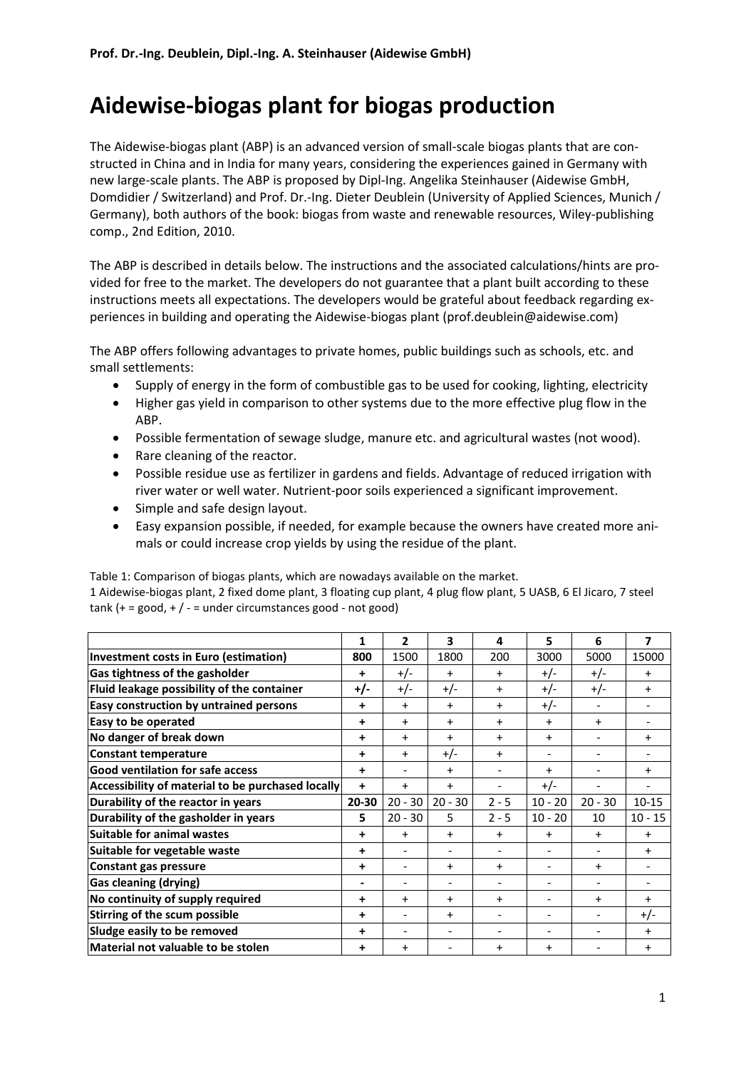# **Aidewise-biogas plant for biogas production**

The Aidewise-biogas plant (ABP) is an advanced version of small-scale biogas plants that are constructed in China and in India for many years, considering the experiences gained in Germany with new large-scale plants. The ABP is proposed by Dipl-Ing. Angelika Steinhauser (Aidewise GmbH, Domdidier / Switzerland) and Prof. Dr.-Ing. Dieter Deublein (University of Applied Sciences, Munich / Germany), both authors of the book: biogas from waste and renewable resources, Wiley-publishing comp., 2nd Edition, 2010.

The ABP is described in details below. The instructions and the associated calculations/hints are provided for free to the market. The developers do not guarantee that a plant built according to these instructions meets all expectations. The developers would be grateful about feedback regarding experiences in building and operating the Aidewise-biogas plant (prof.deublein@aidewise.com)

The ABP offers following advantages to private homes, public buildings such as schools, etc. and small settlements:

- Supply of energy in the form of combustible gas to be used for cooking, lighting, electricity
- Higher gas yield in comparison to other systems due to the more effective plug flow in the ABP.
- Possible fermentation of sewage sludge, manure etc. and agricultural wastes (not wood).
- Rare cleaning of the reactor.
- Possible residue use as fertilizer in gardens and fields. Advantage of reduced irrigation with river water or well water. Nutrient-poor soils experienced a significant improvement.
- Simple and safe design layout.
- Easy expansion possible, if needed, for example because the owners have created more animals or could increase crop yields by using the residue of the plant.

Table 1: Comparison of biogas plants, which are nowadays available on the market. 1 Aidewise-biogas plant, 2 fixed dome plant, 3 floating cup plant, 4 plug flow plant, 5 UASB, 6 El Jicaro, 7 steel  $tank$  (+ = good, +  $/$  - = under circumstances good - not good)

|                                                   | 1                        | $\overline{2}$           | 3                        | 4                        | 5                        | 6                        | $\overline{\mathbf{z}}$ |
|---------------------------------------------------|--------------------------|--------------------------|--------------------------|--------------------------|--------------------------|--------------------------|-------------------------|
| Investment costs in Euro (estimation)             | 800                      | 1500                     | 1800                     | 200                      | 3000                     | 5000                     | 15000                   |
| Gas tightness of the gasholder                    | ٠                        | $+/-$                    | $\ddot{}$                | $+$                      | $+/-$                    | $+/-$                    | $+$                     |
| Fluid leakage possibility of the container        | $+/-$                    | $+/-$                    | $+/-$                    | $+$                      | $+/-$                    | $+/-$                    | $+$                     |
| Easy construction by untrained persons            | $\ddot{}$                | $\ddot{}$                | $\ddot{}$                | $+$                      | $+/-$                    |                          |                         |
| Easy to be operated                               | +                        | $\ddot{}$                | $\ddot{}$                | $\ddot{}$                | $\ddot{}$                | $\ddot{}$                |                         |
| No danger of break down                           | +                        | $\ddot{}$                | $\ddot{}$                | $+$                      | $\ddot{}$                |                          | $\ddot{}$               |
| <b>Constant temperature</b>                       | +                        | $\ddot{}$                | $+/-$                    | $+$                      | $\overline{\phantom{a}}$ | $\overline{\phantom{0}}$ |                         |
| <b>Good ventilation for safe access</b>           | ÷                        | $\overline{\phantom{a}}$ | $\ddot{}$                |                          | $\ddot{}$                | $\overline{a}$           | $+$                     |
| Accessibility of material to be purchased locally | +                        | $\ddot{}$                | $\ddot{}$                | $\overline{\phantom{a}}$ | $+/-$                    | -                        |                         |
| Durability of the reactor in years                | 20-30                    | $20 - 30$                | $20 - 30$                | $2 - 5$                  | $10 - 20$                | $20 - 30$                | $10 - 15$               |
| Durability of the gasholder in years              | 5                        | $20 - 30$                | 5                        | $2 - 5$                  | $10 - 20$                | 10                       | $10 - 15$               |
| <b>Suitable for animal wastes</b>                 | ٠                        | $\ddot{}$                | $\ddot{}$                | $\ddot{}$                | $\ddot{}$                | $\ddot{}$                | $+$                     |
| Suitable for vegetable waste                      | ÷                        |                          |                          |                          | $\overline{\phantom{a}}$ |                          | $+$                     |
| Constant gas pressure                             | $\ddot{}$                |                          | $\ddot{}$                | $+$                      | $\overline{\phantom{a}}$ | $\ddot{}$                |                         |
| <b>Gas cleaning (drying)</b>                      | $\overline{\phantom{a}}$ | $\overline{\phantom{a}}$ | $\overline{\phantom{a}}$ | -                        | $\overline{\phantom{a}}$ | $\overline{\phantom{a}}$ |                         |
| No continuity of supply required                  | +                        | $\ddot{}$                | $\ddot{}$                | $+$                      | $\overline{\phantom{a}}$ | $\ddot{}$                | $+$                     |
| Stirring of the scum possible                     | ÷                        |                          | $\ddot{}$                |                          | $\overline{\phantom{a}}$ |                          | $+/-$                   |
| Sludge easily to be removed                       | +                        |                          | $\overline{\phantom{a}}$ |                          |                          | $\overline{\phantom{0}}$ | $+$                     |
| Material not valuable to be stolen                | +                        | $\ddot{}$                |                          | $\ddot{}$                | $\ddot{}$                |                          | $\ddot{}$               |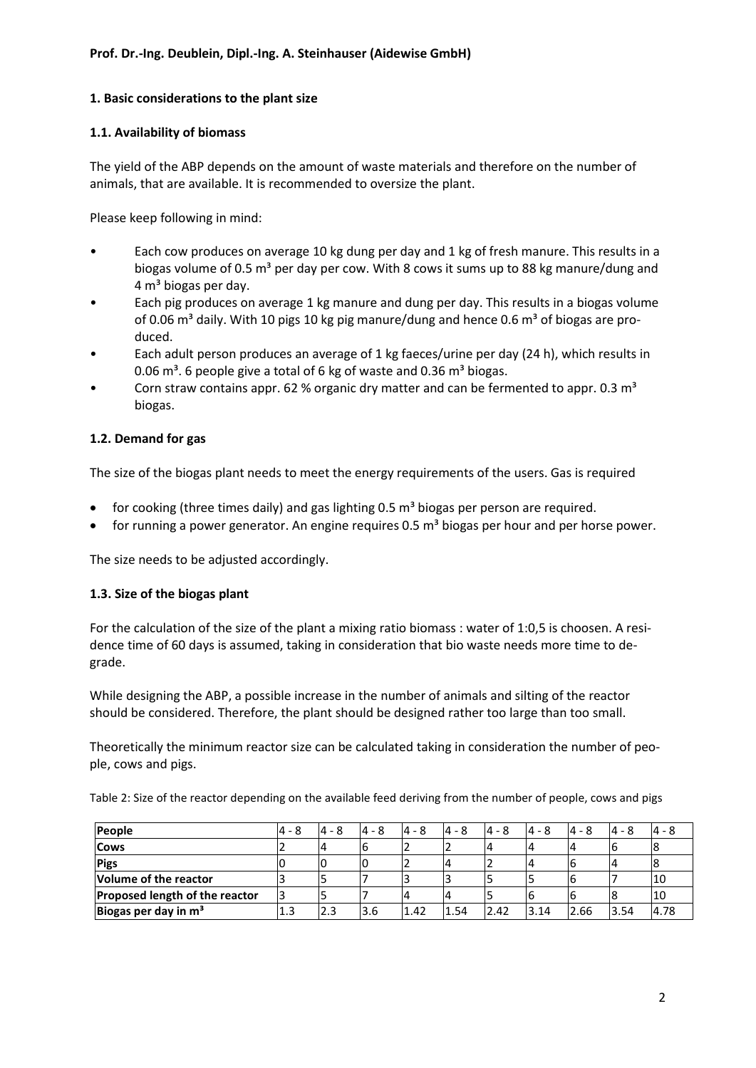# **1. Basic considerations to the plant size**

#### **1.1. Availability of biomass**

The yield of the ABP depends on the amount of waste materials and therefore on the number of animals, that are available. It is recommended to oversize the plant.

Please keep following in mind:

- Each cow produces on average 10 kg dung per day and 1 kg of fresh manure. This results in a biogas volume of 0.5  $m<sup>3</sup>$  per day per cow. With 8 cows it sums up to 88 kg manure/dung and  $4 \text{ m}^3$  biogas per day.
- Each pig produces on average 1 kg manure and dung per day. This results in a biogas volume of 0.06 m<sup>3</sup> daily. With 10 pigs 10 kg pig manure/dung and hence 0.6 m<sup>3</sup> of biogas are produced.
- Each adult person produces an average of 1 kg faeces/urine per day (24 h), which results in 0.06  $\text{m}^3$ . 6 people give a total of 6 kg of waste and 0.36  $\text{m}^3$  biogas.
- Corn straw contains appr. 62 % organic dry matter and can be fermented to appr. 0.3  $m<sup>3</sup>$ biogas.

# **1.2. Demand for gas**

The size of the biogas plant needs to meet the energy requirements of the users. Gas is required

- for cooking (three times daily) and gas lighting  $0.5$  m<sup>3</sup> biogas per person are required.
- for running a power generator. An engine requires  $0.5 \text{ m}^3$  biogas per hour and per horse power.

The size needs to be adjusted accordingly.

#### **1.3. Size of the biogas plant**

For the calculation of the size of the plant a mixing ratio biomass : water of 1:0,5 is choosen. A residence time of 60 days is assumed, taking in consideration that bio waste needs more time to degrade.

While designing the ABP, a possible increase in the number of animals and silting of the reactor should be considered. Therefore, the plant should be designed rather too large than too small.

Theoretically the minimum reactor size can be calculated taking in consideration the number of people, cows and pigs.

Table 2: Size of the reactor depending on the available feed deriving from the number of people, cows and pigs

| People                                | 4 - 8 | $4 - 8$ | $4 - 8$ | $4 - 8$ | $4 - 8$ | $4 - 8$ | $4 - 8$ | $4 - 8$ | $4 - 8$ | $4 - 8$ |
|---------------------------------------|-------|---------|---------|---------|---------|---------|---------|---------|---------|---------|
| <b>Cows</b>                           |       |         |         |         |         |         |         |         |         |         |
| <b>Pigs</b>                           |       |         |         |         |         |         |         |         |         |         |
| Volume of the reactor                 |       |         |         |         |         |         |         |         |         | '10     |
| <b>Proposed length of the reactor</b> |       |         |         |         |         |         | ס       |         |         | '10     |
| Biogas per day in $m3$                | 1.3   | 2.3     | 3.6     | 1.42    | 1.54    | 2.42    | 3.14    | 2.66    | 3.54    | 4.78    |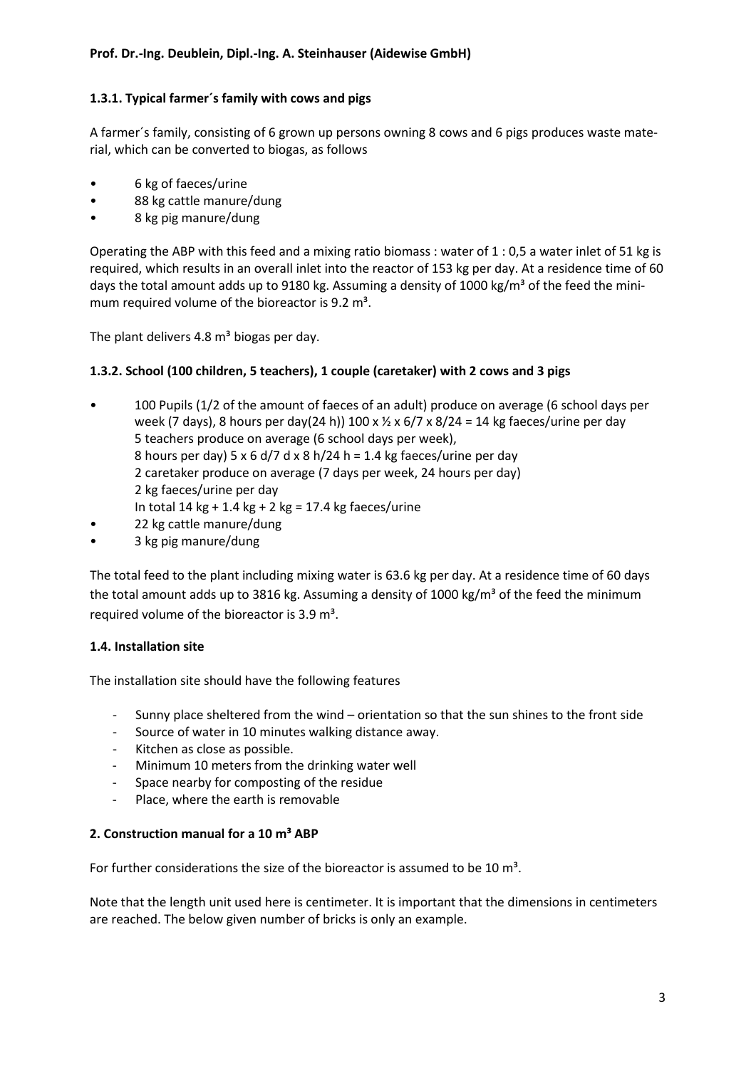# **1.3.1. Typical farmer´s family with cows and pigs**

A farmer´s family, consisting of 6 grown up persons owning 8 cows and 6 pigs produces waste material, which can be converted to biogas, as follows

- 6 kg of faeces/urine
- 88 kg cattle manure/dung
- 8 kg pig manure/dung

Operating the ABP with this feed and a mixing ratio biomass : water of 1 : 0,5 a water inlet of 51 kg is required, which results in an overall inlet into the reactor of 153 kg per day. At a residence time of 60 days the total amount adds up to 9180 kg. Assuming a density of 1000 kg/m<sup>3</sup> of the feed the minimum required volume of the bioreactor is  $9.2 \text{ m}^3$ .

The plant delivers 4.8  $\text{m}^3$  biogas per day.

# **1.3.2. School (100 children, 5 teachers), 1 couple (caretaker) with 2 cows and 3 pigs**

- 100 Pupils (1/2 of the amount of faeces of an adult) produce on average (6 school days per week (7 days), 8 hours per day(24 h)) 100 x  $\frac{1}{2}$  x 6/7 x 8/24 = 14 kg faeces/urine per day 5 teachers produce on average (6 school days per week), 8 hours per day) 5 x 6 d/7 d x 8 h/24 h = 1.4 kg faeces/urine per day 2 caretaker produce on average (7 days per week, 24 hours per day) 2 kg faeces/urine per day
	- In total 14 kg + 1.4 kg + 2 kg = 17.4 kg faeces/urine
- 22 kg cattle manure/dung
- 3 kg pig manure/dung

The total feed to the plant including mixing water is 63.6 kg per day. At a residence time of 60 days the total amount adds up to 3816 kg. Assuming a density of 1000 kg/m<sup>3</sup> of the feed the minimum required volume of the bioreactor is 3.9 m<sup>3</sup>.

#### **1.4. Installation site**

The installation site should have the following features

- Sunny place sheltered from the wind orientation so that the sun shines to the front side
- Source of water in 10 minutes walking distance away.
- Kitchen as close as possible.
- Minimum 10 meters from the drinking water well
- Space nearby for composting of the residue
- Place, where the earth is removable

#### **2. Construction manual for a 10 m³ ABP**

For further considerations the size of the bioreactor is assumed to be 10  $\text{m}^3$ .

Note that the length unit used here is centimeter. It is important that the dimensions in centimeters are reached. The below given number of bricks is only an example.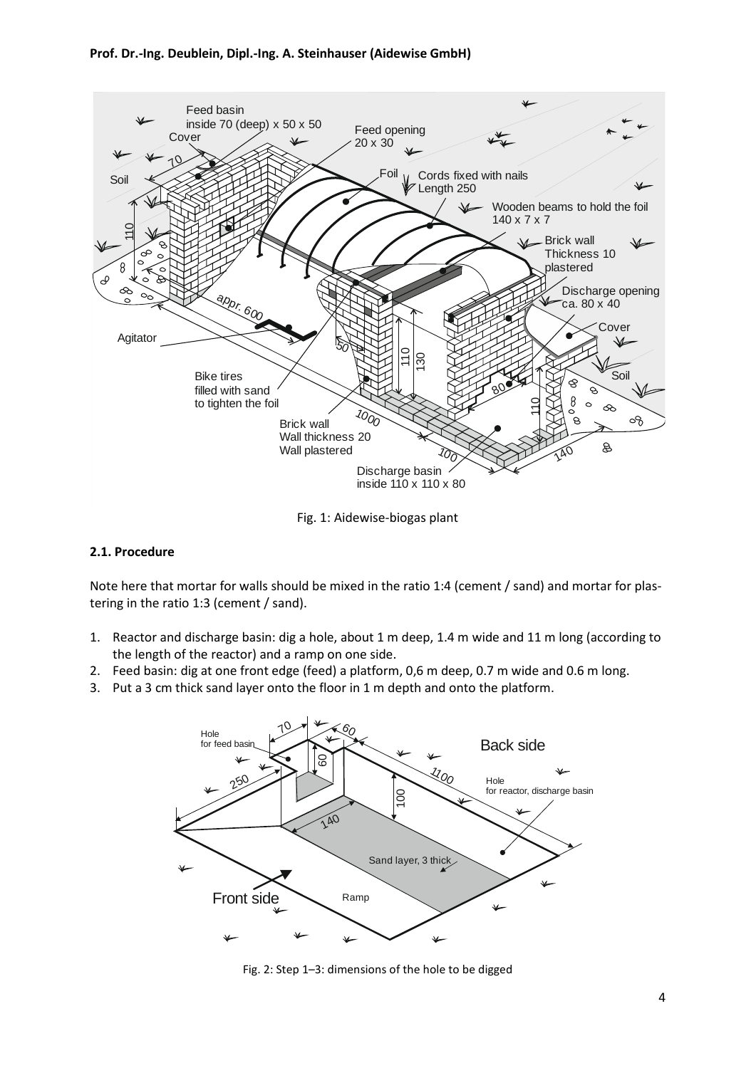#### **Prof. Dr.-Ing. Deublein, Dipl.-Ing. A. Steinhauser (Aidewise GmbH)**



Fig. 1: Aidewise-biogas plant

#### **2.1. Procedure**

Note here that mortar for walls should be mixed in the ratio 1:4 (cement / sand) and mortar for plastering in the ratio 1:3 (cement / sand).

- 1. Reactor and discharge basin: dig a hole, about 1 m deep, 1.4 m wide and 11 m long (according to the length of the reactor) and a ramp on one side.
- 2. Feed basin: dig at one front edge (feed) a platform, 0,6 m deep, 0.7 m wide and 0.6 m long.
- 3. Put a 3 cm thick sand layer onto the floor in 1 m depth and onto the platform.



Fig. 2: Step 1–3: dimensions of the hole to be digged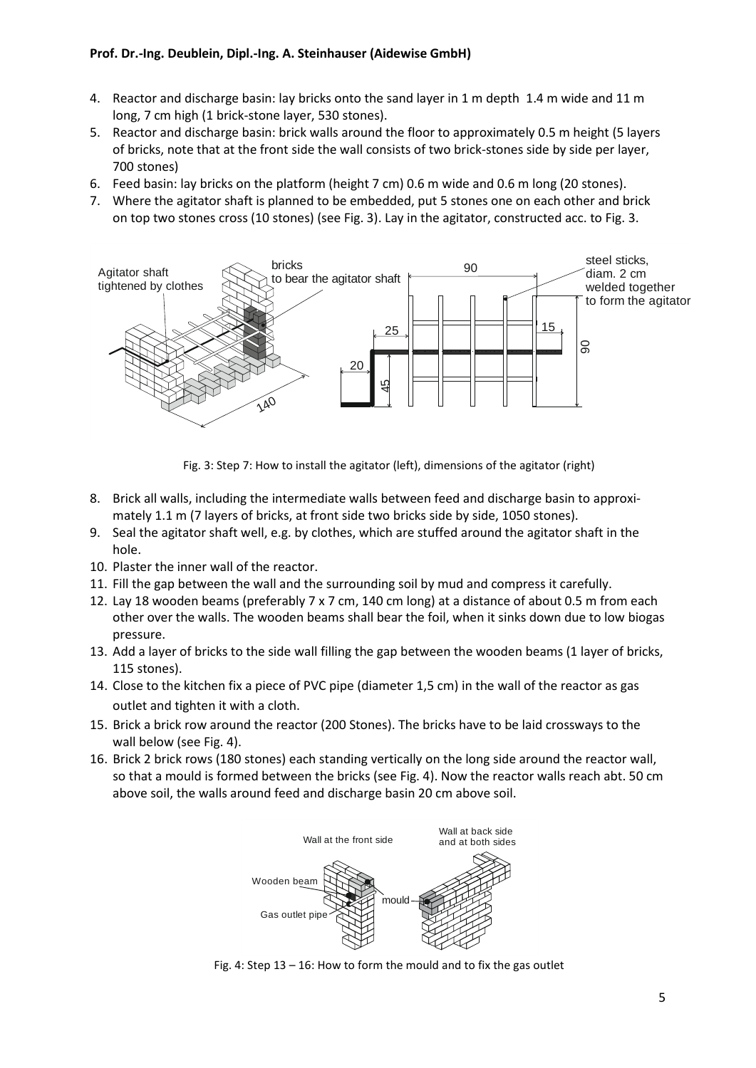# **Prof. Dr.-Ing. Deublein, Dipl.-Ing. A. Steinhauser (Aidewise GmbH)**

- 4. Reactor and discharge basin: lay bricks onto the sand layer in 1 m depth 1.4 m wide and 11 m long, 7 cm high (1 brick-stone layer, 530 stones).
- 5. Reactor and discharge basin: brick walls around the floor to approximately 0.5 m height (5 layers of bricks, note that at the front side the wall consists of two brick-stones side by side per layer, 700 stones)
- 6. Feed basin: lay bricks on the platform (height 7 cm) 0.6 m wide and 0.6 m long (20 stones).
- 7. Where the agitator shaft is planned to be embedded, put 5 stones one on each other and brick on top two stones cross (10 stones) (see Fig. 3). Lay in the agitator, constructed acc. to Fig. 3.



Fig. 3: Step 7: How to install the agitator (left), dimensions of the agitator (right)

- 8. Brick all walls, including the intermediate walls between feed and discharge basin to approximately 1.1 m (7 layers of bricks, at front side two bricks side by side, 1050 stones).
- 9. Seal the agitator shaft well, e.g. by clothes, which are stuffed around the agitator shaft in the hole.
- 10. Plaster the inner wall of the reactor.
- 11. Fill the gap between the wall and the surrounding soil by mud and compress it carefully.
- 12. Lay 18 wooden beams (preferably 7 x 7 cm, 140 cm long) at a distance of about 0.5 m from each other over the walls. The wooden beams shall bear the foil, when it sinks down due to low biogas pressure.
- 13. Add a layer of bricks to the side wall filling the gap between the wooden beams (1 layer of bricks, 115 stones).
- 14. Close to the kitchen fix a piece of PVC pipe (diameter 1,5 cm) in the wall of the reactor as gas outlet and tighten it with a cloth.
- 15. Brick a brick row around the reactor (200 Stones). The bricks have to be laid crossways to the wall below (see Fig. 4).
- 16. Brick 2 brick rows (180 stones) each standing vertically on the long side around the reactor wall, so that a mould is formed between the bricks (see Fig. 4). Now the reactor walls reach abt. 50 cm above soil, the walls around feed and discharge basin 20 cm above soil.



Fig. 4: Step 13 – 16: How to form the mould and to fix the gas outlet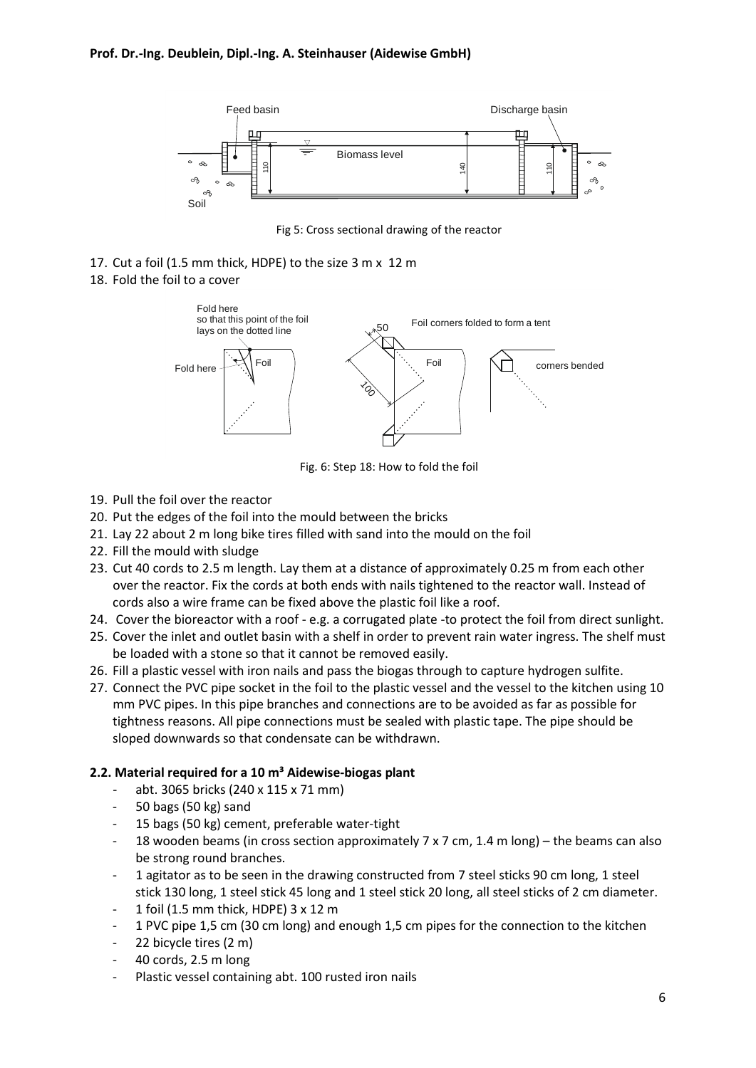

Fig 5: Cross sectional drawing of the reactor

- 17. Cut a foil (1.5 mm thick, HDPE) to the size 3 m x 12 m
- 18. Fold the foil to a cover



Fig. 6: Step 18: How to fold the foil

- 19. Pull the foil over the reactor
- 20. Put the edges of the foil into the mould between the bricks
- 21. Lay 22 about 2 m long bike tires filled with sand into the mould on the foil
- 22. Fill the mould with sludge
- 23. Cut 40 cords to 2.5 m length. Lay them at a distance of approximately 0.25 m from each other over the reactor. Fix the cords at both ends with nails tightened to the reactor wall. Instead of cords also a wire frame can be fixed above the plastic foil like a roof.
- 24. Cover the bioreactor with a roof e.g. a corrugated plate -to protect the foil from direct sunlight.
- 25. Cover the inlet and outlet basin with a shelf in order to prevent rain water ingress. The shelf must be loaded with a stone so that it cannot be removed easily.
- 26. Fill a plastic vessel with iron nails and pass the biogas through to capture hydrogen sulfite.
- 27. Connect the PVC pipe socket in the foil to the plastic vessel and the vessel to the kitchen using 10 mm PVC pipes. In this pipe branches and connections are to be avoided as far as possible for tightness reasons. All pipe connections must be sealed with plastic tape. The pipe should be sloped downwards so that condensate can be withdrawn.

# **2.2. Material required for a 10 m³ Aidewise-biogas plant**

- abt. 3065 bricks (240 x 115 x 71 mm)
- 50 bags (50 kg) sand
- 15 bags (50 kg) cement, preferable water-tight
- 18 wooden beams (in cross section approximately 7 x 7 cm, 1.4 m long) the beams can also be strong round branches.
- 1 agitator as to be seen in the drawing constructed from 7 steel sticks 90 cm long, 1 steel stick 130 long, 1 steel stick 45 long and 1 steel stick 20 long, all steel sticks of 2 cm diameter.
- 1 foil (1.5 mm thick, HDPE) 3 x 12 m
- 1 PVC pipe 1,5 cm (30 cm long) and enough 1,5 cm pipes for the connection to the kitchen
- 22 bicycle tires (2 m)
- 40 cords, 2.5 m long
- Plastic vessel containing abt. 100 rusted iron nails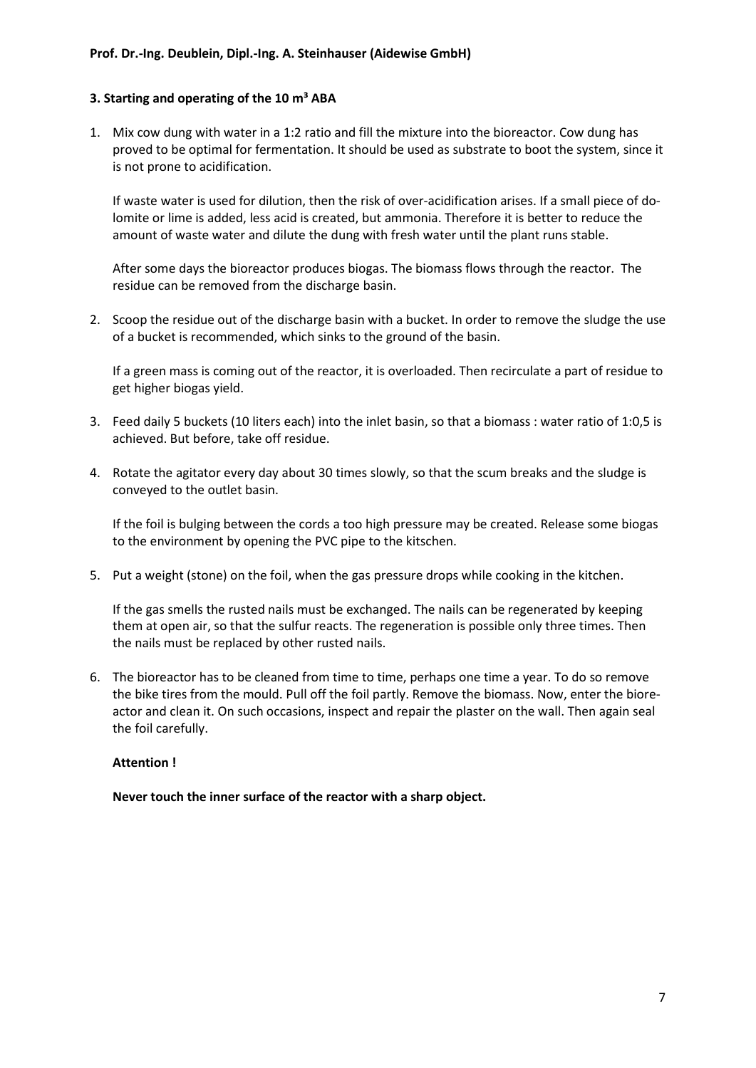# **3. Starting and operating of the 10 m³ ABA**

1. Mix cow dung with water in a 1:2 ratio and fill the mixture into the bioreactor. Cow dung has proved to be optimal for fermentation. It should be used as substrate to boot the system, since it is not prone to acidification.

If waste water is used for dilution, then the risk of over-acidification arises. If a small piece of dolomite or lime is added, less acid is created, but ammonia. Therefore it is better to reduce the amount of waste water and dilute the dung with fresh water until the plant runs stable.

After some days the bioreactor produces biogas. The biomass flows through the reactor. The residue can be removed from the discharge basin.

2. Scoop the residue out of the discharge basin with a bucket. In order to remove the sludge the use of a bucket is recommended, which sinks to the ground of the basin.

If a green mass is coming out of the reactor, it is overloaded. Then recirculate a part of residue to get higher biogas yield.

- 3. Feed daily 5 buckets (10 liters each) into the inlet basin, so that a biomass : water ratio of 1:0,5 is achieved. But before, take off residue.
- 4. Rotate the agitator every day about 30 times slowly, so that the scum breaks and the sludge is conveyed to the outlet basin.

If the foil is bulging between the cords a too high pressure may be created. Release some biogas to the environment by opening the PVC pipe to the kitschen.

5. Put a weight (stone) on the foil, when the gas pressure drops while cooking in the kitchen.

If the gas smells the rusted nails must be exchanged. The nails can be regenerated by keeping them at open air, so that the sulfur reacts. The regeneration is possible only three times. Then the nails must be replaced by other rusted nails.

6. The bioreactor has to be cleaned from time to time, perhaps one time a year. To do so remove the bike tires from the mould. Pull off the foil partly. Remove the biomass. Now, enter the bioreactor and clean it. On such occasions, inspect and repair the plaster on the wall. Then again seal the foil carefully.

#### **Attention !**

**Never touch the inner surface of the reactor with a sharp object.**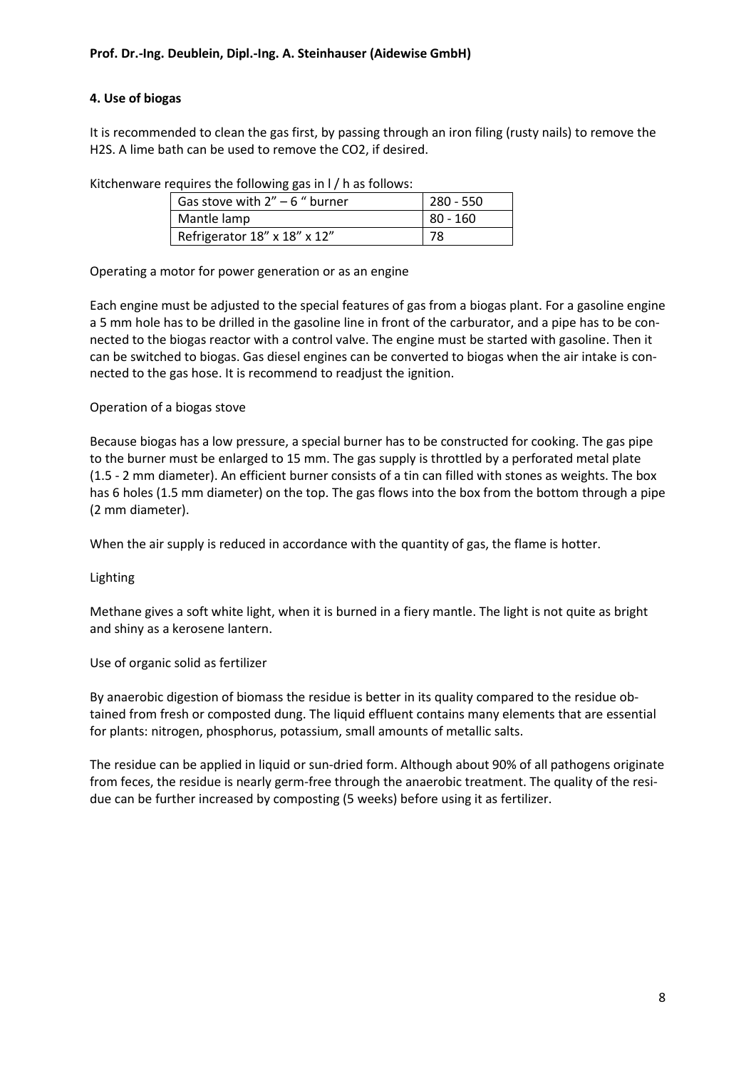# **4. Use of biogas**

It is recommended to clean the gas first, by passing through an iron filing (rusty nails) to remove the H2S. A lime bath can be used to remove the CO2, if desired.

| $\alpha$ . Equiles the following gas in F $\beta$ is as follows. |           |  |  |  |  |
|------------------------------------------------------------------|-----------|--|--|--|--|
| Gas stove with $2'' - 6$ " burner                                | 280 - 550 |  |  |  |  |
| Mantle lamp                                                      | 80 - 160  |  |  |  |  |
| Refrigerator 18" x 18" x 12"                                     | 78        |  |  |  |  |

Kitchenware requires the following gas in l / h as follows:

Operating a motor for power generation or as an engine

Each engine must be adjusted to the special features of gas from a biogas plant. For a gasoline engine a 5 mm hole has to be drilled in the gasoline line in front of the carburator, and a pipe has to be connected to the biogas reactor with a control valve. The engine must be started with gasoline. Then it can be switched to biogas. Gas diesel engines can be converted to biogas when the air intake is connected to the gas hose. It is recommend to readjust the ignition.

#### Operation of a biogas stove

Because biogas has a low pressure, a special burner has to be constructed for cooking. The gas pipe to the burner must be enlarged to 15 mm. The gas supply is throttled by a perforated metal plate (1.5 - 2 mm diameter). An efficient burner consists of a tin can filled with stones as weights. The box has 6 holes (1.5 mm diameter) on the top. The gas flows into the box from the bottom through a pipe (2 mm diameter).

When the air supply is reduced in accordance with the quantity of gas, the flame is hotter.

Lighting

Methane gives a soft white light, when it is burned in a fiery mantle. The light is not quite as bright and shiny as a kerosene lantern.

Use of organic solid as fertilizer

By anaerobic digestion of biomass the residue is better in its quality compared to the residue obtained from fresh or composted dung. The liquid effluent contains many elements that are essential for plants: nitrogen, phosphorus, potassium, small amounts of metallic salts.

The residue can be applied in liquid or sun-dried form. Although about 90% of all pathogens originate from feces, the residue is nearly germ-free through the anaerobic treatment. The quality of the residue can be further increased by composting (5 weeks) before using it as fertilizer.